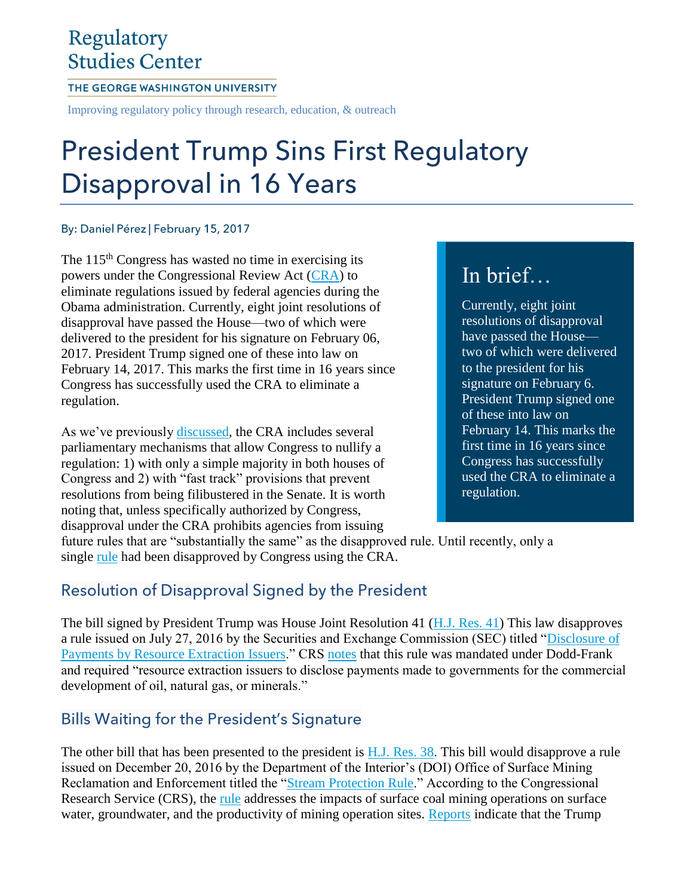# Regulatory **Studies Center**

#### THE GEORGE WASHINGTON UNIVERSITY

Improving regulatory policy through research, education, & outreach

# **President Trump Sins First Regulatory** Disapproval in 16 Years

#### By: Daniel Pérez | February 15, 2017

The  $115<sup>th</sup>$  Congress has wasted no time in exercising its powers under the Congressional Review Act [\(CRA\)](https://regulatorystudies.columbian.gwu.edu/congressional-review-act-fact-sheet) to eliminate regulations issued by federal agencies during the Obama administration. Currently, eight joint resolutions of disapproval have passed the House—two of which were delivered to the president for his signature on February 06, 2017. President Trump signed one of these into law on February 14, 2017. This marks the first time in 16 years since Congress has successfully used the CRA to eliminate a regulation.

As we've previously [discussed,](https://regulatorystudies.columbian.gwu.edu/congressional-review-act-fact-sheet) the CRA includes several parliamentary mechanisms that allow Congress to nullify a regulation: 1) with only a simple majority in both houses of Congress and 2) with "fast track" provisions that prevent resolutions from being filibustered in the Senate. It is worth noting that, unless specifically authorized by Congress, disapproval under the CRA prohibits agencies from issuing

# In brief…

Currently, eight joint resolutions of disapproval have passed the House two of which were delivered to the president for his signature on February 6. President Trump signed one of these into law on February 14. This marks the first time in 16 years since Congress has successfully used the CRA to eliminate a regulation.

future rules that are "substantially the same" as the disapproved rule. Until recently, only a single [rule](https://www.federalregister.gov/documents/2000/11/14/00-28854/ergonomics-program) had been disapproved by Congress using the CRA.

### **Resolution of Disapproval Signed by the President**

The bill signed by President Trump was House Joint Resolution 41 [\(H.J. Res. 41\)](https://www.congress.gov/bill/115th-congress/house-joint-resolution/41?q=%7B%22search%22%3A%5B%22%5C%22H.J.+Res.%5C%22%22%5D%7D&r=17) This law disapproves a rule issued on July 27, 2016 by the Securities and Exchange Commission (SEC) titled ["Disclosure of](https://www.federalregister.gov/documents/2016/07/27/2016-15676/disclosure-of-payments-by-resource-extraction-issuers)  [Payments by Resource Extraction Issuers.](https://www.federalregister.gov/documents/2016/07/27/2016-15676/disclosure-of-payments-by-resource-extraction-issuers)" CRS [notes](https://www.govtrack.us/congress/bills/115/hjres41/summary) that this rule was mandated under Dodd-Frank and required "resource extraction issuers to disclose payments made to governments for the commercial development of oil, natural gas, or minerals."

### **Bills Waiting for the President's Signature**

The other bill that has been presented to the president is **H.J.** Res. 38. This bill would disapprove a rule issued on December 20, 2016 by the Department of the Interior's (DOI) Office of Surface Mining Reclamation and Enforcement titled the ["Stream Protection Rule.](https://www.federalregister.gov/documents/2016/12/20/2016-29958/stream-protection-rule)" According to the Congressional Research Service (CRS), the [rule](https://www.govtrack.us/congress/bills/115/hjres38/summary) addresses the impacts of surface coal mining operations on surface water, groundwater, and the productivity of mining operation sites. [Reports](http://www.cleveland.com/metro/index.ssf/2017/02/donald_trump_cancels_planned_v.html) indicate that the Trump